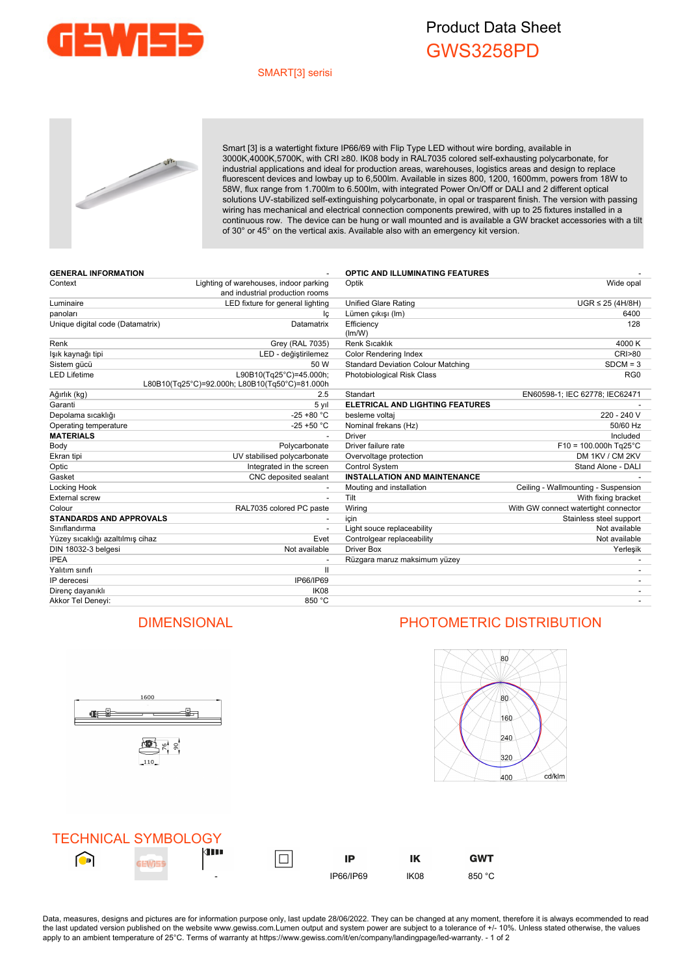

## Product Data Sheet GWS3258PD

### SMART[3] serisi



Smart [3] is a watertight fixture IP66/69 with Flip Type LED without wire bording, available in 3000K,4000K,5700K, with CRI ≥80. IK08 body in RAL7035 colored self-exhausting polycarbonate, for industrial applications and ideal for production areas, warehouses, logistics areas and design to replace fluorescent devices and lowbay up to 6,500lm. Available in sizes 800, 1200, 1600mm, powers from 18W to 58W, flux range from 1.700lm to 6.500lm, with integrated Power On/Off or DALI and 2 different optical solutions UV-stabilized self-extinguishing polycarbonate, in opal or trasparent finish. The version with passing wiring has mechanical and electrical connection components prewired, with up to 25 fixtures installed in a continuous row. The device can be hung or wall mounted and is available a GW bracket accessories with a tilt of 30° or 45° on the vertical axis. Available also with an emergency kit version.

| <b>GENERAL INFORMATION</b>       |                                                                           | <b>OPTIC AND ILLUMINATING FEATURES</b>    |                                      |
|----------------------------------|---------------------------------------------------------------------------|-------------------------------------------|--------------------------------------|
| Context                          | Lighting of warehouses, indoor parking<br>and industrial production rooms | Optik                                     | Wide opal                            |
| Luminaire                        | LED fixture for general lighting                                          | <b>Unified Glare Rating</b>               | $UGR \leq 25$ (4H/8H)                |
| panoları                         | Ιc                                                                        | Lümen çıkışı (Im)                         | 6400                                 |
| Unique digital code (Datamatrix) | Datamatrix                                                                | Efficiency<br>(lm/W)                      | 128                                  |
| Renk                             | Grey (RAL 7035)                                                           | <b>Renk Sıcaklık</b>                      | 4000 K                               |
| lşık kaynağı tipi                | LED - değiştirilemez                                                      | <b>Color Rendering Index</b>              | <b>CRI&gt;80</b>                     |
| Sistem gücü                      | 50 W                                                                      | <b>Standard Deviation Colour Matching</b> | $SDCM = 3$                           |
| LED Lifetime                     | L90B10(Tg25°C)=45.000h;<br>L80B10(Tg25°C)=92.000h; L80B10(Tg50°C)=81.000h | Photobiological Risk Class                | RG <sub>0</sub>                      |
| Ağırlık (kg)                     | 2.5                                                                       | Standart                                  | EN60598-1; IEC 62778; IEC62471       |
| Garanti                          | 5 yıl                                                                     | <b>ELETRICAL AND LIGHTING FEATURES</b>    |                                      |
| Depolama sıcaklığı               | $-25 + 80 °C$                                                             | besleme voltaj                            | 220 - 240 V                          |
| Operating temperature            | $-25 + 50 °C$                                                             | Nominal frekans (Hz)                      | 50/60 Hz                             |
| <b>MATERIALS</b>                 |                                                                           | <b>Driver</b>                             | Included                             |
| Body                             | Polycarbonate                                                             | Driver failure rate                       | $F10 = 100.000h$ Tg25°C              |
| Ekran tipi                       | UV stabilised polycarbonate                                               | Overvoltage protection                    | DM 1KV / CM 2KV                      |
| Optic                            | Integrated in the screen                                                  | Control System                            | Stand Alone - DALI                   |
| Gasket                           | CNC deposited sealant                                                     | <b>INSTALLATION AND MAINTENANCE</b>       |                                      |
| Locking Hook                     |                                                                           | Mouting and installation                  | Ceiling - Wallmounting - Suspension  |
| <b>External screw</b>            |                                                                           | Tilt                                      | With fixing bracket                  |
| Colour                           | RAL7035 colored PC paste                                                  | Wiring                                    | With GW connect watertight connector |
| <b>STANDARDS AND APPROVALS</b>   |                                                                           | icin                                      | Stainless steel support              |
| Sınıflandırma                    |                                                                           | Light souce replaceability                | Not available                        |
| Yüzey sıcaklığı azaltılmış cihaz | Evet                                                                      | Controlgear replaceability                | Not available                        |
| DIN 18032-3 belgesi              | Not available                                                             | <b>Driver Box</b>                         | Yerleşik                             |
| <b>IPEA</b>                      |                                                                           | Rüzgara maruz maksimum yüzey              |                                      |
| Yalıtım sınıfı                   | $\mathbf{H}$                                                              |                                           |                                      |
| IP derecesi                      | IP66/IP69                                                                 |                                           |                                      |
| Direnç dayanıklı                 | IK <sub>08</sub>                                                          |                                           |                                      |
| Akkor Tel Deneyi:                | 850 °C                                                                    |                                           |                                      |



## DIMENSIONAL PHOTOMETRIC DISTRIBUTION



|   | <b>TECHNICAL SYMBOLOGY</b> |                          |           |      |            |
|---|----------------------------|--------------------------|-----------|------|------------|
| D |                            | 4 I I                    | IP        |      | <b>GWT</b> |
|   |                            | $\overline{\phantom{0}}$ | IP66/IP69 | IK08 | 850 °C     |

Data, measures, designs and pictures are for information purpose only, last update 28/06/2022. They can be changed at any moment, therefore it is always ecommended to read the last updated version published on the website www.gewiss.com.Lumen output and system power are subject to a tolerance of +/- 10%. Unless stated otherwise, the values apply to an ambient temperature of 25°C. Terms of warranty at https://www.gewiss.com/it/en/company/landingpage/led-warranty. - 1 of 2